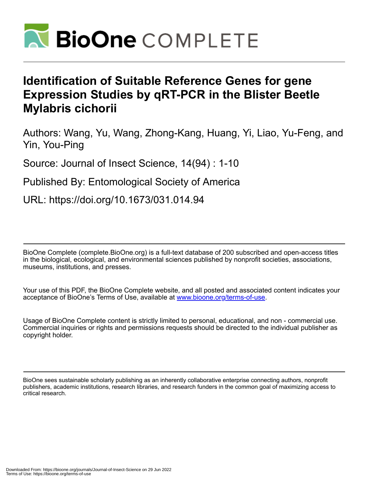

# **Identification of Suitable Reference Genes for gene Expression Studies by qRT-PCR in the Blister Beetle Mylabris cichorii**

Authors: Wang, Yu, Wang, Zhong-Kang, Huang, Yi, Liao, Yu-Feng, and Yin, You-Ping

Source: Journal of Insect Science, 14(94) : 1-10

Published By: Entomological Society of America

URL: https://doi.org/10.1673/031.014.94

BioOne Complete (complete.BioOne.org) is a full-text database of 200 subscribed and open-access titles in the biological, ecological, and environmental sciences published by nonprofit societies, associations, museums, institutions, and presses.

Your use of this PDF, the BioOne Complete website, and all posted and associated content indicates your acceptance of BioOne's Terms of Use, available at www.bioone.org/terms-of-use.

Usage of BioOne Complete content is strictly limited to personal, educational, and non - commercial use. Commercial inquiries or rights and permissions requests should be directed to the individual publisher as copyright holder.

BioOne sees sustainable scholarly publishing as an inherently collaborative enterprise connecting authors, nonprofit publishers, academic institutions, research libraries, and research funders in the common goal of maximizing access to critical research.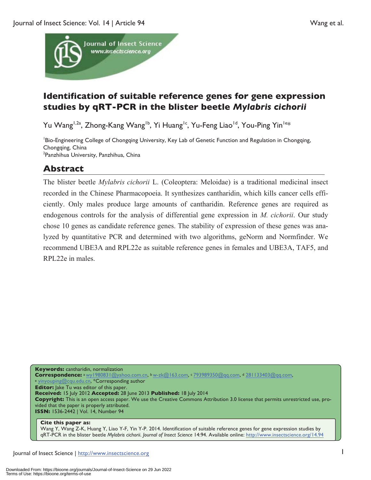

## **Identification of suitable reference genes for gene expression studies by qRT-PCR in the blister beetle** *Mylabris cichorii*

Yu Wang<sup>1,2a</sup>, Zhong-Kang Wang<sup>1b</sup>, Yi Huang<sup>1c</sup>, Yu-Feng Liao<sup>1d</sup>, You-Ping Yin<sup>1e\*</sup>

Bio-Engineering College of Chongqing University, Key Lab of Genetic Function and Regulation in Chongqing, Chongqing, China <sup>2</sup>Panzhihua University, Panzhihua, China

## **Abstract**

The blister beetle *Mylabris cichorii* L. (Coleoptera: Meloidae) is a traditional medicinal insect recorded in the Chinese Pharmacopoeia. It synthesizes cantharidin, which kills cancer cells efficiently. Only males produce large amounts of cantharidin. Reference genes are required as endogenous controls for the analysis of differential gene expression in *M. cichorii*. Our study chose 10 genes as candidate reference genes. The stability of expression of these genes was analyzed by quantitative PCR and determined with two algorithms, geNorm and Normfinder. We recommend UBE3A and RPL22e as suitable reference genes in females and UBE3A, TAF5, and RPL22e in males.

**Keywords:** cantharidin, normalization **Correspondence:** a wy1980831@yahoo.com.cn, b w-zk@163.com, c 793989350@qq.com, d 281133403@qq.com, e yinyouping@cqu.edu.cn, \*Corresponding author **Editor:** Jake Tu was editor of this paper. **Received:** 15 July 2012 **Accepted:** 28 June 2013 **Published:** 18 July 2014 **Copyright:** This is an open access paper. We use the Creative Commons Attribution 3.0 license that permits unrestricted use, provided that the paper is properly attributed. **ISSN:** 1536-2442 | Vol. 14, Number 94

#### **Cite this paper as:**

Wang Y, Wang Z-K, Huang Y, Liao Y-F, Yin Y-P. 2014. Identification of suitable reference genes for gene expression studies by qRT-PCR in the blister beetle *Mylabris cichorii*. *Journal of Insect Science* 14:94. Available online: http://www.insectscience.org/14.94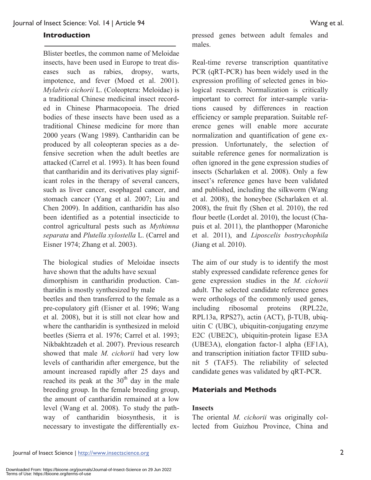#### **Introduction**

Blister beetles, the common name of Meloidae insects, have been used in Europe to treat diseases such as rabies, dropsy, warts, impotence, and fever (Moed et al. 2001). *Mylabris cichorii* L. (Coleoptera: Meloidae) is a traditional Chinese medicinal insect recorded in Chinese Pharmacopoeia. The dried bodies of these insects have been used as a traditional Chinese medicine for more than 2000 years (Wang 1989). Cantharidin can be produced by all coleopteran species as a defensive secretion when the adult beetles are attacked (Carrel et al. 1993). It has been found that cantharidin and its derivatives play significant roles in the therapy of several cancers, such as liver cancer, esophageal cancer, and stomach cancer (Yang et al. 2007; Liu and Chen 2009). In addition, cantharidin has also been identified as a potential insecticide to control agricultural pests such as *Mythimna separata* and *Plutella xylostella* L. (Carrel and Eisner 1974; Zhang et al. 2003).

The biological studies of Meloidae insects have shown that the adults have sexual dimorphism in cantharidin production. Cantharidin is mostly synthesized by male beetles and then transferred to the female as a pre-copulatory gift (Eisner et al. 1996; Wang et al. 2008), but it is still not clear how and where the cantharidin is synthesized in meloid beetles (Sierra et al. 1976; Carrel et al. 1993; Nikbakhtzadeh et al. 2007). Previous research showed that male *M. cichorii* had very low levels of cantharidin after emergence, but the amount increased rapidly after 25 days and reached its peak at the  $30<sup>th</sup>$  day in the male breeding group. In the female breeding group, the amount of cantharidin remained at a low level (Wang et al. 2008). To study the pathway of cantharidin biosynthesis, it is necessary to investigate the differentially expressed genes between adult females and males.

Real-time reverse transcription quantitative PCR (qRT-PCR) has been widely used in the expression profiling of selected genes in biological research. Normalization is critically important to correct for inter-sample variations caused by differences in reaction efficiency or sample preparation. Suitable reference genes will enable more accurate normalization and quantification of gene expression. Unfortunately, the selection of suitable reference genes for normalization is often ignored in the gene expression studies of insects (Scharlaken et al. 2008). Only a few insect's reference genes have been validated and published, including the silkworm (Wang et al. 2008), the honeybee (Scharlaken et al. 2008), the fruit fly (Shen et al. 2010), the red flour beetle (Lordet al. 2010), the locust (Chapuis et al. 2011), the planthopper (Maroniche et al. 2011), and *Liposcelis bostrychophila*  (Jiang et al. 2010).

The aim of our study is to identify the most stably expressed candidate reference genes for gene expression studies in the *M. cichorii*  adult. The selected candidate reference genes were orthologs of the commonly used genes, including ribosomal proteins (RPL22e, RPL13a, RPS27), actin (ACT), β-TUB, ubiquitin C (UBC), ubiquitin-conjugating enzyme E2C (UBE2C), ubiquitin-protein ligase E3A (UBE3A), elongation factor-1 alpha (EF1A), and transcription initiation factor TFIID subunit 5 (TAF5). The reliability of selected candidate genes was validated by qRT-PCR.

#### **Materials and Methods**

#### **Insects**

The oriental *M. cichorii* was originally collected from Guizhou Province, China and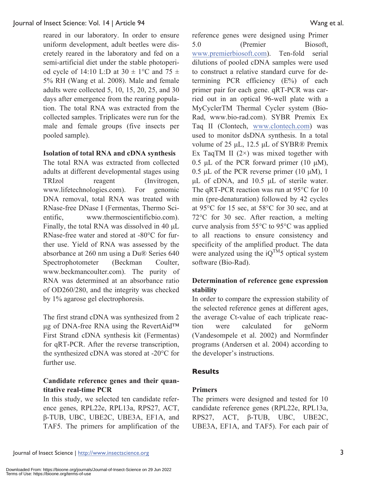reared in our laboratory. In order to ensure uniform development, adult beetles were discretely reared in the laboratory and fed on a semi-artificial diet under the stable photoperiod cycle of 14:10 L:D at  $30 \pm 1$ °C and  $75 \pm 1$ 5% RH (Wang et al. 2008). Male and female adults were collected 5, 10, 15, 20, 25, and 30 days after emergence from the rearing population. The total RNA was extracted from the collected samples. Triplicates were run for the male and female groups (five insects per pooled sample).

#### **Isolation of total RNA and cDNA synthesis**

The total RNA was extracted from collected adults at different developmental stages using TRIzol reagent (Invitrogen, www.lifetechnologies.com). For genomic DNA removal, total RNA was treated with RNase-free DNase I (Fermentas, Thermo Scientific, www.thermoscientificbio.com). Finally, the total RNA was dissolved in 40 μL RNase-free water and stored at -80°C for further use. Yield of RNA was assessed by the absorbance at 260 nm using a Du® Series 640 Spectrophotometer (Beckman Coulter, www.beckmancoulter.com). The purity of RNA was determined at an absorbance ratio of OD260/280, and the integrity was checked by 1% agarose gel electrophoresis.

The first strand cDNA was synthesized from 2 μg of DNA-free RNA using the RevertAid™ First Strand cDNA synthesis kit (Fermentas) for qRT-PCR. After the reverse transcription, the synthesized cDNA was stored at -20°C for further use.

#### **Candidate reference genes and their quantitative real-time PCR**

In this study, we selected ten candidate reference genes, RPL22e, RPL13a, RPS27, ACT, β-TUB, UBC, UBE2C, UBE3A, EF1A, and TAF5. The primers for amplification of the reference genes were designed using Primer 5.0 (Premier Biosoft, www.premierbiosoft.com). Ten-fold serial dilutions of pooled cDNA samples were used to construct a relative standard curve for determining PCR efficiency (E%) of each primer pair for each gene. qRT-PCR was carried out in an optical 96-well plate with a MyCyclerTM Thermal Cycler system (Bio-Rad, www.bio-rad.com). SYBR Premix Ex Taq II (Clontech, www.clontech.com) was used to monitor dsDNA synthesis. In a total volume of 25 μL, 12.5 μL of SYBR® Premix Ex TaqTM II  $(2)$  was mixed together with 0.5 μL of the PCR forward primer (10 μM), 0.5 μL of the PCR reverse primer  $(10 \mu M)$ , 1 μL of cDNA, and 10.5 μL of sterile water. The qRT-PCR reaction was run at 95°C for 10 min (pre-denaturation) followed by 42 cycles at 95°C for 15 sec, at 58°C for 30 sec, and at 72°C for 30 sec. After reaction, a melting curve analysis from 55°C to 95°C was applied to all reactions to ensure consistency and specificity of the amplified product. The data were analyzed using the  $iQ^{TM}5$  optical system software (Bio-Rad).

#### **Determination of reference gene expression stability**

In order to compare the expression stability of the selected reference genes at different ages, the average Ct-value of each triplicate reaction were calculated for geNorm (Vandesompele et al. 2002) and Normfinder programs (Andersen et al. 2004) according to the developer's instructions.

#### **Results**

#### **Primers**

The primers were designed and tested for 10 candidate reference genes (RPL22e, RPL13a, RPS27, ACT, β-TUB, UBC, UBE2C, UBE3A, EF1A, and TAF5). For each pair of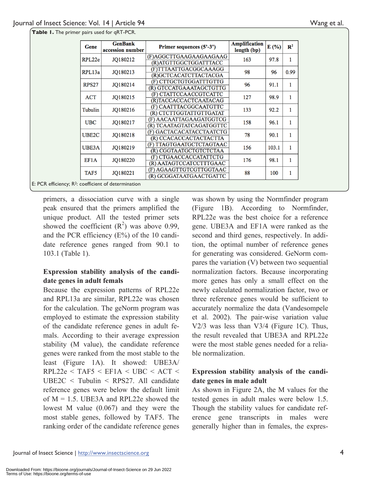| Gene         | <b>GenBank</b><br>accession number | Primer sequences (5'-3') | Amplification<br>length (bp) | E(%)  | $\mathbf{R}^2$ |
|--------------|------------------------------------|--------------------------|------------------------------|-------|----------------|
| RPL22e       | JQ180212                           | (F)AGGCTTGAAGAAGAAGAAG   | 163                          | 97.8  | 1              |
|              |                                    | (R)ATGTTGGCTGGATTTACC    |                              |       |                |
| RPL13a       | JQ180213                           | (F)TTTAATTGACGGCAAAGG    | 98                           | 96    | 0.99           |
|              |                                    | (R)GCTCACATCTTACTACGA    |                              |       |                |
| <b>RPS27</b> | JQ180214                           | (F) CTTGCTGTGGATTTGTTG   | 96                           | 91.1  | 1              |
|              |                                    | (R) GTCCATGAAATAGCTGTTG  |                              |       |                |
| ACT          | JQ180215                           | (F) CTATTCCAACCGTCATTC   | 127                          | 98.9  | 1              |
|              |                                    | (R)TACCACCACTCAATACAG    |                              |       |                |
| Tubulin      | JQ180216                           | (F) CAATTTACGGCAATGTTC   | 133                          | 92.2  | 1              |
|              |                                    | (R) CTCTTGGTATTGTTGATAT  |                              |       |                |
| <b>UBC</b>   | JQ180217                           | (F) AACAATTAGAAGATGGTCG  | 158                          | 96.1  | 1              |
|              |                                    | (R) TCAATAGTATCAGATGGTTC |                              |       |                |
| UBE2C        | JQ180218                           | (F) GACTACACATACCTAATCTG | 78                           | 90.1  | 1              |
|              |                                    | (R) CCACACCACTACTACTTA   |                              |       |                |
| UBE3A        | JQ180219                           | (F) TTAGTGAATGCTCTAGTAAC | 156                          | 103.1 | 1              |
|              |                                    | (R) CGGTAATGCTGTCTCTAA   |                              |       |                |
| EF1A         | JO180220                           | (F) CTGAACCACCATATTCTG   | 176                          | 98.1  | 1              |
|              |                                    | (R) AATAGTCCATCCTTTGAAC  |                              |       |                |
| TAF5         | JQ180221                           | (F) AGAAGTTGTCGTTGGTAAC  | 88                           | 100   | 1              |
|              |                                    | (R) GCGGATAATGAACTGATTC  |                              |       |                |

**Table 1.** The primer pairs used for qRT-PCR.

E: PCR efficiency; R2: coefficient of determination

primers, a dissociation curve with a single peak ensured that the primers amplified the unique product. All the tested primer sets showed the coefficient  $(R^2)$  was above 0.99, and the PCR efficiency (E%) of the 10 candidate reference genes ranged from 90.1 to 103.1 (Table 1).

#### **Expression stability analysis of the candidate genes in adult femals**

Because the expression patterns of RPL22e and RPL13a are similar, RPL22e was chosen for the calculation. The geNorm program was employed to estimate the expression stability of the candidate reference genes in adult femals. According to their average expression stability (M value), the candidate reference genes were ranked from the most stable to the least (Figure 1A). It showed: UBE3A/  $RPL22e < TAF5 < EF1A < UBC < ACT <$ UBE2C < Tubulin < RPS27. All candidate reference genes were below the default limit of  $M = 1.5$ . UBE3A and RPL22e showed the lowest M value (0.067) and they were the most stable genes, followed by TAF5. The ranking order of the candidate reference genes

was shown by using the Normfinder program (Figure 1B). According to Normfinder, RPL22e was the best choice for a reference gene. UBE3A and EF1A were ranked as the second and third genes, respectively. In addition, the optimal number of reference genes for generating was considered. GeNorm compares the variation (V) between two sequential normalization factors. Because incorporating more genes has only a small effect on the newly calculated normalization factor, two or three reference genes would be sufficient to accurately normalize the data (Vandesompele et al. 2002). The pair-wise variation value V2/3 was less than V3/4 (Figure 1C). Thus, the result revealed that UBE3A and RPL22e were the most stable genes needed for a reliable normalization.

#### **Expression stability analysis of the candidate genes in male adult**

As shown in Figure 2A, the M values for the tested genes in adult males were below 1.5. Though the stability values for candidate reference gene transcripts in males were generally higher than in females, the expres-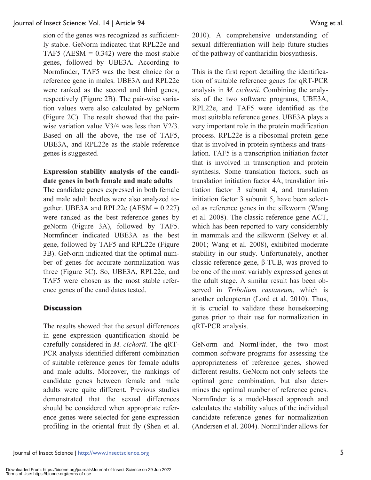sion of the genes was recognized as sufficiently stable. GeNorm indicated that RPL22e and TAF5 ( $AESM = 0.342$ ) were the most stable genes, followed by UBE3A. According to Normfinder, TAF5 was the best choice for a reference gene in males. UBE3A and RPL22e were ranked as the second and third genes, respectively (Figure 2B). The pair-wise variation values were also calculated by geNorm (Figure 2C). The result showed that the pairwise variation value V3/4 was less than V2/3. Based on all the above, the use of TAF5, UBE3A, and RPL22e as the stable reference genes is suggested.

### **Expression stability analysis of the candidate genes in both female and male adults**

The candidate genes expressed in both female and male adult beetles were also analyzed together. UBE3A and RPL22e  $(AESM = 0.227)$ were ranked as the best reference genes by geNorm (Figure 3A), followed by TAF5. Normfinder indicated UBE3A as the best gene, followed by TAF5 and RPL22e (Figure 3B). GeNorm indicated that the optimal number of genes for accurate normalization was three (Figure 3C). So, UBE3A, RPL22e, and TAF5 were chosen as the most stable reference genes of the candidates tested.

#### **Discussion**

The results showed that the sexual differences in gene expression quantification should be carefully considered in *M. cichorii*. The qRT-PCR analysis identified different combination of suitable reference genes for female adults and male adults. Moreover, the rankings of candidate genes between female and male adults were quite different. Previous studies demonstrated that the sexual differences should be considered when appropriate reference genes were selected for gene expression profiling in the oriental fruit fly (Shen et al.

2010). A comprehensive understanding of sexual differentiation will help future studies of the pathway of cantharidin biosynthesis.

This is the first report detailing the identification of suitable reference genes for qRT-PCR analysis in *M. cichorii*. Combining the analysis of the two software programs, UBE3A, RPL22e, and TAF5 were identified as the most suitable reference genes. UBE3A plays a very important role in the protein modification process. RPL22e is a ribosomal protein gene that is involved in protein synthesis and translation. TAF5 is a transcription initiation factor that is involved in transcription and protein synthesis. Some translation factors, such as translation initiation factor 4A, translation initiation factor 3 subunit 4, and translation initiation factor 3 subunit 5, have been selected as reference genes in the silkworm (Wang et al. 2008). The classic reference gene ACT, which has been reported to vary considerably in mammals and the silkworm (Selvey et al. 2001; Wang et al. 2008), exhibited moderate stability in our study. Unfortunately, another classic reference gene, β-TUB, was proved to be one of the most variably expressed genes at the adult stage. A similar result has been observed in *Tribolium castaneum*, which is another coleopteran (Lord et al. 2010). Thus, it is crucial to validate these housekeeping genes prior to their use for normalization in qRT-PCR analysis.

GeNorm and NormFinder, the two most common software programs for assessing the appropriateness of reference genes, showed different results. GeNorm not only selects the optimal gene combination, but also determines the optimal number of reference genes. Normfinder is a model-based approach and calculates the stability values of the individual candidate reference genes for normalization (Andersen et al. 2004). NormFinder allows for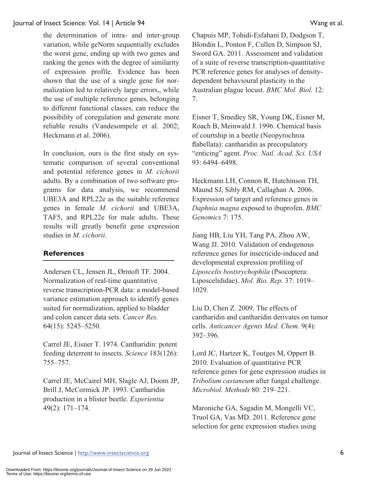the determination of intra- and inter-group variation, while geNorm sequentially excludes the worst gene, ending up with two genes and ranking the genes with the degree of similarity of expression profile. Evidence has been shown that the use of a single gene for normalization led to relatively large errors,, while the use of multiple reference genes, belonging to different functional classes, can reduce the possibility of coregulation and generate more reliable results (Vandesompele et al. 2002; Heckmann et al. 2006).

In conclusion, ours is the first study on systematic comparison of several conventional and potential reference genes in *M. cichorii* adults. By a combination of two software programs for data analysis, we recommend UBE3A and RPL22e as the suitable reference genes in female *M. cichorii* and UBE3A, TAF5, and RPL22e for male adults. These results will greatly benefit gene expression studies in *M. cichorii*.

#### **References**

Andersen CL, Jensen JL, Ørntoft TF. 2004. Normalization of real-time quantitative reverse transcription-PCR data: a model-based variance estimation approach to identify genes suited for normalization, applied to bladder and colon cancer data sets. *Cancer Res.* 64(15): 5245–5250.

Carrel JE, Eisner T. 1974. Cantharidin: potent feeding deterrent to insects. *Science* 183(126): 755–757.

Carrel JE, McCairel MH, Slagle AJ, Doom JP, Brill J, McCormick JP. 1993. Cantharidin production in a blister beetle. *Experientia* 49(2): 171–174.

Chapuis MP, Tohidi-Esfahani D, Dodgson T, Blondin L, Ponton F, Cullen D, Simpson SJ, Sword GA. 2011. Assessment and validation of a suite of reverse transcription-quantitative PCR reference genes for analyses of densitydependent behavioural plasticity in the Australian plague locust. *BMC Mol. Biol.* 12: 7.

Eisner T, Smedley SR, Young DK, Eisner M, Roach B, Meinwald J. 1996. Chemical basis of courtship in a beetle (Neopyrochroa flabellata): cantharidin as precopulatory "enticing" agent. *Proc. Natl. Acad. Sci. USA* 93: 6494–6498.

Heckmann LH, Connon R, Hutchinson TH, Maund SJ, Sibly RM, Callaghan A. 2006. Expression of target and reference genes in *Daphnia magna* exposed to ibuprofen. *BMC Genomics* 7: 175.

Jiang HB, Liu YH, Tang PA, Zhou AW, Wang JJ. 2010. Validation of endogenous reference genes for insecticide-induced and developmental expression profiling of *Liposcelis bostsrychophila* (Psocoptera: Liposcelididae). *Mol. Bio. Rep.* 37: 1019– 1029.

Liu D, Chen Z. 2009. The effects of cantharidin and cantharidin derivates on tumor cells. *Anticancer Agents Med. Chem.* 9(4): 392–396.

Lord JC, Hartzer K, Toutges M, Oppert B. 2010. Evaluation of quantitative PCR reference genes for gene expression studies in *Tribolium castaneum* after fungal challenge. *Microbiol. Methods* 80: 219–221.

Maroniche GA, Sagadin M, Mongelli VC, Truol GA, Vas MD. 2011. Reference gene selection for gene expression studies using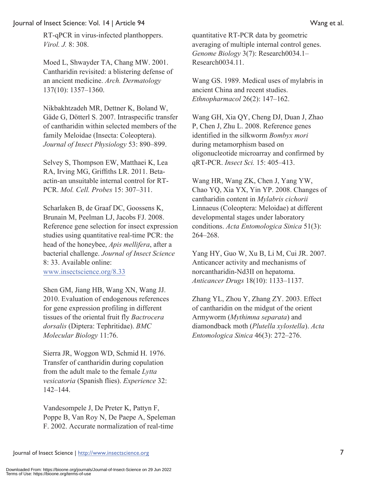RT-qPCR in virus-infected planthoppers. *Virol. J.* 8: 308.

Moed L, Shwayder TA, Chang MW. 2001. Cantharidin revisited: a blistering defense of an ancient medicine. *Arch. Dermatology* 137(10): 1357–1360.

Nikbakhtzadeh MR, Dettner K, Boland W, Gäde G, Dötterl S. 2007. Intraspecific transfer of cantharidin within selected members of the family Meloidae (Insecta: Coleoptera). *Journal of Insect Physiology* 53: 890–899.

Selvey S, Thompson EW, Matthaei K, Lea RA, Irving MG, Griffiths LR. 2011. Betaactin-an unsuitable internal control for RT-PCR. *Mol. Cell. Probes* 15: 307–311.

Scharlaken B, de Graaf DC, Goossens K, Brunain M, Peelman LJ, Jacobs FJ. 2008. Reference gene selection for insect expression studies using quantitative real-time PCR: the head of the honeybee, *Apis mellifera*, after a bacterial challenge. *Journal of Insect Science* 8: 33. Available online: www.insectscience.org/8.33

Shen GM, Jiang HB, Wang XN, Wang JJ. 2010. Evaluation of endogenous references for gene expression profiling in different tissues of the oriental fruit fly *Bactrocera dorsalis* (Diptera: Tephritidae). *BMC Molecular Biology* 11:76.

Sierra JR, Woggon WD, Schmid H. 1976. Transfer of cantharidin during copulation from the adult male to the female *Lytta vesicatoria* (Spanish flies). *Experience* 32: 142–144.

Vandesompele J, De Preter K, Pattyn F, Poppe B, Van Roy N, De Paepe A, Speleman F. 2002. Accurate normalization of real-time

quantitative RT-PCR data by geometric averaging of multiple internal control genes. *Genome Biology* 3(7): Research0034.1– Research0034.11.

Wang GS. 1989. Medical uses of mylabris in ancient China and recent studies. *Ethnopharmacol* 26(2): 147–162.

Wang GH, Xia QY, Cheng DJ, Duan J, Zhao P, Chen J, Zhu L. 2008. Reference genes identified in the silkworm *Bombyx mori* during metamorphism based on oligonucleotide microarray and confirmed by qRT-PCR. *Insect Sci.* 15: 405–413.

Wang HR, Wang ZK, Chen J, Yang YW, Chao YQ, Xia YX, Yin YP. 2008. Changes of cantharidin content in *Mylabris cichorii* Linnaeus (Coleoptera: Meloidae) at different developmental stages under laboratory conditions. *Acta Entomologica Sinica* 51(3): 264–268.

Yang HY, Guo W, Xu B, Li M, Cui JR. 2007. Anticancer activity and mechanisms of norcantharidin-Nd3II on hepatoma. *Anticancer Drugs* 18(10): 1133–1137.

Zhang YL, Zhou Y, Zhang ZY. 2003. Effect of cantharidin on the midgut of the orient Armyworm (*Mythimna separata*) and diamondback moth (*Plutella xylostella*). *Acta Entomologica Sinica* 46(3): 272–276.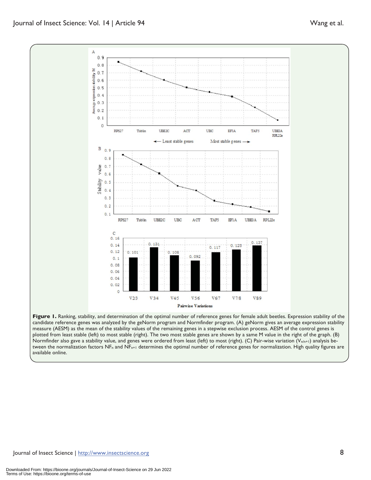Journal of Insect Science | http://www.insectscience.org 8

available online.



 $0.131$ 

 $V3/4$ 

 $0.108$ 

 $V4/5$ 

Figure 1. Ranking, stability, and determination of the optimal number of reference genes for female adult beetles. Expression stability of the candidate reference genes was analyzed by the geNorm program and Normfinder program. (A) geNorm gives an average expression stability measure (AESM) as the mean of the stability values of the remaining genes in a stepwise exclusion process. AESM of the control genes is plotted from least stable (left) to most stable (right). The two most stable genes are shown by a same M value in the right of the graph. (B) Normfinder also gave a stability value, and genes were ordered from least (left) to most (right). (C) Pair-wise variation ( $V_{n/n+1}$ ) analysis between the normalization factors NF<sub>n</sub> and NF<sub>n+1</sub> determines the optimal number of reference genes for normalization. High quality figures are

 $0.092$ 

 $V5/6$ 

Pairwise Variations

 $0, 13$ 

 $V89$ 

 $0.125$ 

 $V7/8$ 

 $0.117$ 

 $V67$ 

#### expression stability M  $0.7$  $0.6$  $0.5$  $0.4$  $0.3$

 $0.14$ 

 $0.12$ 

 $0.1$  $0.08$  $0.06$  $0.04$  $0.02$  $\circ$   $0.101$ 

 $V2/3$ 

 $\mathbf{A}$  $0.9$  $0.8$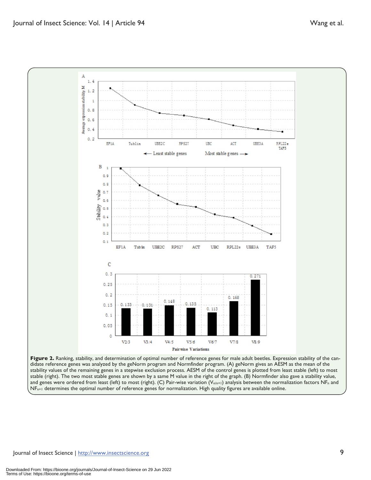

Figure 2. Ranking, stability, and determination of optimal number of reference genes for male adult beetles. Expression stability of the candidate reference genes was analyzed by the geNorm program and Normfinder program. (A) geNorm gives an AESM as the mean of the stability values of the remaining genes in a stepwise exclusion process. AESM of the control genes is plotted from least stable (left) to most stable (right). The two most stable genes are shown by a same M value in the right of the graph. (B) Normfinder also gave a stability value, and genes were ordered from least (left) to most (right). (C) Pair-wise variation ( $V_{n/n+1}$ ) analysis between the normalization factors NF<sub>n</sub> and  $NF_{n+1}$  determines the optimal number of reference genes for normalization. High quality figures are available online.